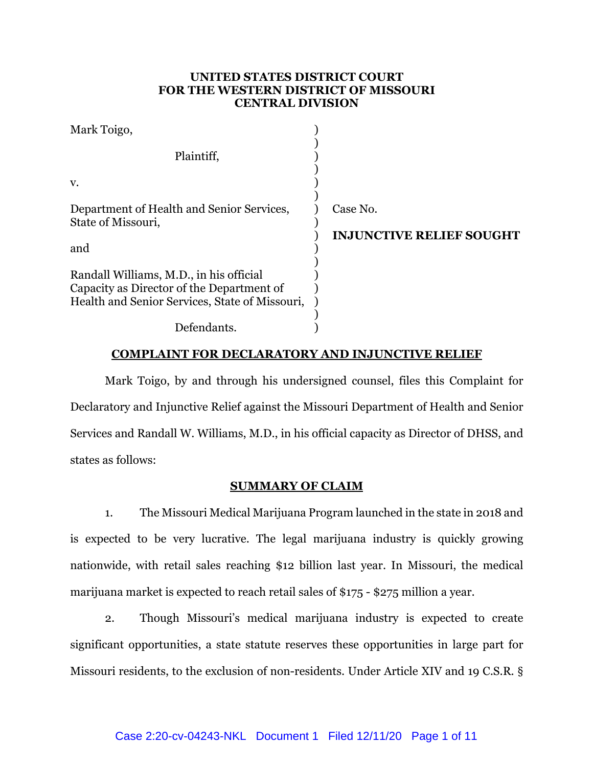## **UNITED STATES DISTRICT COURT FOR THE WESTERN DISTRICT OF MISSOURI CENTRAL DIVISION**

| Mark Toigo,                                                                          |                                 |
|--------------------------------------------------------------------------------------|---------------------------------|
| Plaintiff,                                                                           |                                 |
| V.                                                                                   |                                 |
| Department of Health and Senior Services,                                            | Case No.                        |
| State of Missouri,                                                                   | <b>INJUNCTIVE RELIEF SOUGHT</b> |
| and                                                                                  |                                 |
| Randall Williams, M.D., in his official<br>Capacity as Director of the Department of |                                 |
| Health and Senior Services, State of Missouri,                                       |                                 |
| Defendants.                                                                          |                                 |

### **COMPLAINT FOR DECLARATORY AND INJUNCTIVE RELIEF**

Mark Toigo, by and through his undersigned counsel, files this Complaint for Declaratory and Injunctive Relief against the Missouri Department of Health and Senior Services and Randall W. Williams, M.D., in his official capacity as Director of DHSS, and states as follows:

#### **SUMMARY OF CLAIM**

1. The Missouri Medical Marijuana Program launched in the state in 2018 and is expected to be very lucrative. The legal marijuana industry is quickly growing nationwide, with retail sales reaching \$12 billion last year. In Missouri, the medical marijuana market is expected to reach retail sales of \$175 - \$275 million a year.

2. Though Missouri's medical marijuana industry is expected to create significant opportunities, a state statute reserves these opportunities in large part for Missouri residents, to the exclusion of non-residents. Under Article XIV and 19 C.S.R. §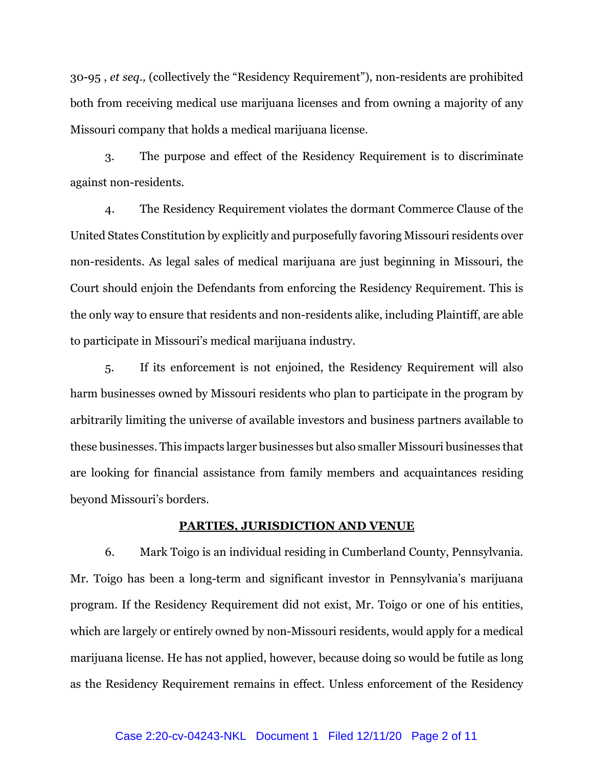30-95 , *et seq.,* (collectively the "Residency Requirement"), non-residents are prohibited both from receiving medical use marijuana licenses and from owning a majority of any Missouri company that holds a medical marijuana license.

3. The purpose and effect of the Residency Requirement is to discriminate against non-residents.

4. The Residency Requirement violates the dormant Commerce Clause of the United States Constitution by explicitly and purposefully favoring Missouri residents over non-residents. As legal sales of medical marijuana are just beginning in Missouri, the Court should enjoin the Defendants from enforcing the Residency Requirement. This is the only way to ensure that residents and non-residents alike, including Plaintiff, are able to participate in Missouri's medical marijuana industry.

5. If its enforcement is not enjoined, the Residency Requirement will also harm businesses owned by Missouri residents who plan to participate in the program by arbitrarily limiting the universe of available investors and business partners available to these businesses. This impacts larger businesses but also smaller Missouri businesses that are looking for financial assistance from family members and acquaintances residing beyond Missouri's borders.

#### **PARTIES, JURISDICTION AND VENUE**

6. Mark Toigo is an individual residing in Cumberland County, Pennsylvania. Mr. Toigo has been a long-term and significant investor in Pennsylvania's marijuana program. If the Residency Requirement did not exist, Mr. Toigo or one of his entities, which are largely or entirely owned by non-Missouri residents, would apply for a medical marijuana license. He has not applied, however, because doing so would be futile as long as the Residency Requirement remains in effect. Unless enforcement of the Residency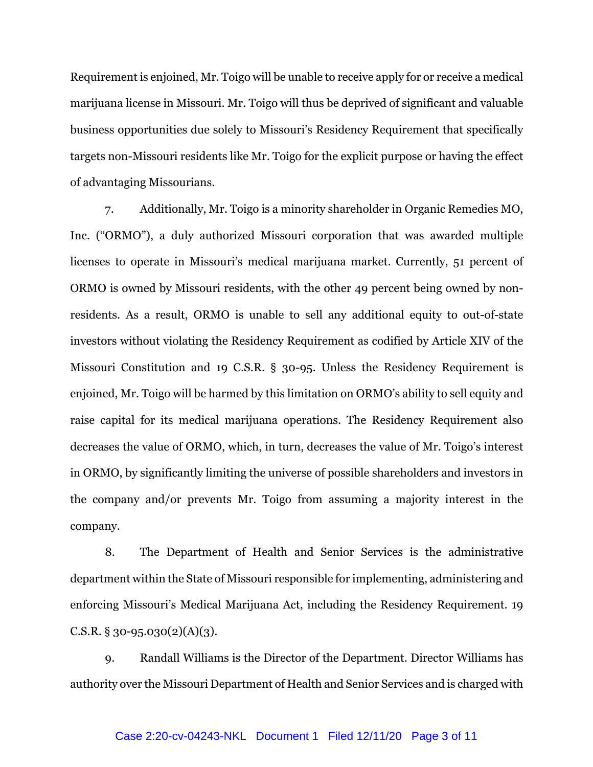Requirement is enjoined, Mr. Toigo will be unable to receive apply for or receive a medical marijuana license in Missouri. Mr. Toigo will thus be deprived of significant and valuable business opportunities due solely to Missouri's Residency Requirement that specifically targets non-Missouri residents like Mr. Toigo for the explicit purpose or having the effect of advantaging Missourians.

7. Additionally, Mr. Toigo is a minority shareholder in Organic Remedies MO, Inc. ("ORMO"), a duly authorized Missouri corporation that was awarded multiple licenses to operate in Missouri's medical marijuana market. Currently, 51 percent of ORMO is owned by Missouri residents, with the other 49 percent being owned by nonresidents. As a result, ORMO is unable to sell any additional equity to out-of-state investors without violating the Residency Requirement as codified by Article XIV of the Missouri Constitution and 19 C.S.R. § 30-95. Unless the Residency Requirement is enjoined, Mr. Toigo will be harmed by this limitation on ORMO's ability to sell equity and raise capital for its medical marijuana operations. The Residency Requirement also decreases the value of ORMO, which, in turn, decreases the value of Mr. Toigo's interest in ORMO, by significantly limiting the universe of possible shareholders and investors in the company and/or prevents Mr. Toigo from assuming a majority interest in the company.

8. The Department of Health and Senior Services is the administrative department within the State of Missouri responsible for implementing, administering and enforcing Missouri's Medical Marijuana Act, including the Residency Requirement. 19 C.S.R.  $\S 30 - 95.030(2)(A)(3)$ .

9. Randall Williams is the Director of the Department. Director Williams has authority over the Missouri Department of Health and Senior Services and is charged with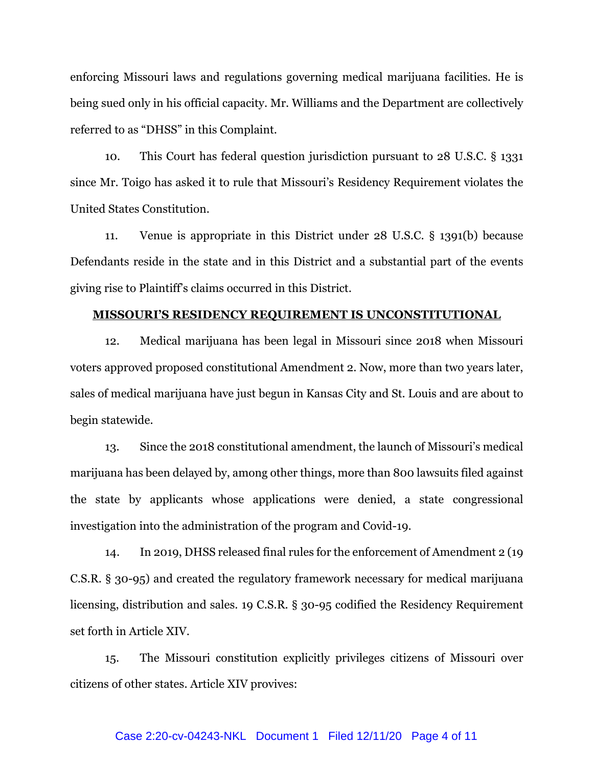enforcing Missouri laws and regulations governing medical marijuana facilities. He is being sued only in his official capacity. Mr. Williams and the Department are collectively referred to as "DHSS" in this Complaint.

10. This Court has federal question jurisdiction pursuant to 28 U.S.C. § 1331 since Mr. Toigo has asked it to rule that Missouri's Residency Requirement violates the United States Constitution.

11. Venue is appropriate in this District under 28 U.S.C. § 1391(b) because Defendants reside in the state and in this District and a substantial part of the events giving rise to Plaintiff's claims occurred in this District.

## **MISSOURI'S RESIDENCY REQUIREMENT IS UNCONSTITUTIONAL**

12. Medical marijuana has been legal in Missouri since 2018 when Missouri voters approved proposed constitutional Amendment 2. Now, more than two years later, sales of medical marijuana have just begun in Kansas City and St. Louis and are about to begin statewide.

13. Since the 2018 constitutional amendment, the launch of Missouri's medical marijuana has been delayed by, among other things, more than 800 lawsuits filed against the state by applicants whose applications were denied, a state congressional investigation into the administration of the program and Covid-19.

14. In 2019, DHSS released final rules for the enforcement of Amendment 2 (19 C.S.R. § 30-95) and created the regulatory framework necessary for medical marijuana licensing, distribution and sales. 19 C.S.R. § 30-95 codified the Residency Requirement set forth in Article XIV.

15. The Missouri constitution explicitly privileges citizens of Missouri over citizens of other states. Article XIV provives:

#### Case 2:20-cv-04243-NKL Document 1 Filed 12/11/20 Page 4 of 11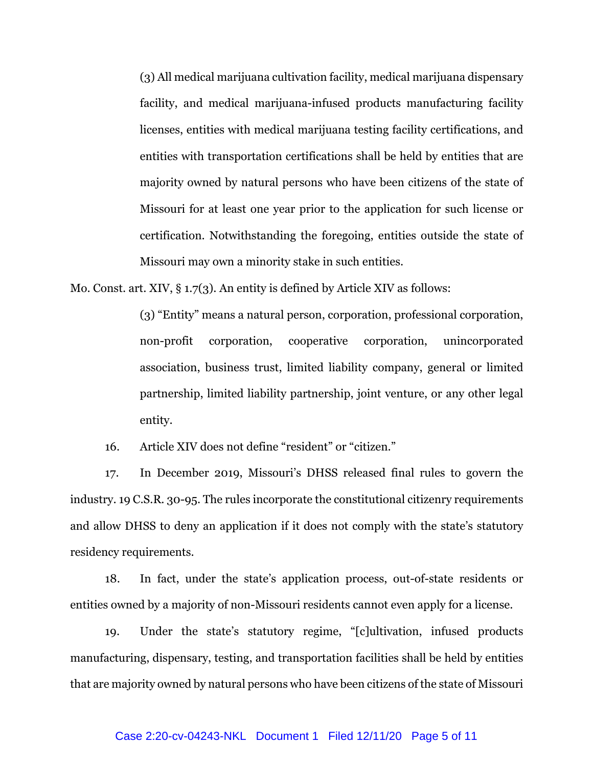(3) All medical marijuana cultivation facility, medical marijuana dispensary facility, and medical marijuana-infused products manufacturing facility licenses, entities with medical marijuana testing facility certifications, and entities with transportation certifications shall be held by entities that are majority owned by natural persons who have been citizens of the state of Missouri for at least one year prior to the application for such license or certification. Notwithstanding the foregoing, entities outside the state of Missouri may own a minority stake in such entities.

Mo. Const. art. XIV, § 1.7(3). An entity is defined by Article XIV as follows:

(3) "Entity" means a natural person, corporation, professional corporation, non-profit corporation, cooperative corporation, unincorporated association, business trust, limited liability company, general or limited partnership, limited liability partnership, joint venture, or any other legal entity.

16. Article XIV does not define "resident" or "citizen."

17. In December 2019, Missouri's DHSS released final rules to govern the industry. 19 C.S.R. 30-95. The rules incorporate the constitutional citizenry requirements and allow DHSS to deny an application if it does not comply with the state's statutory residency requirements.

18. In fact, under the state's application process, out-of-state residents or entities owned by a majority of non-Missouri residents cannot even apply for a license.

19. Under the state's statutory regime, "[c]ultivation, infused products manufacturing, dispensary, testing, and transportation facilities shall be held by entities that are majority owned by natural persons who have been citizens of the state of Missouri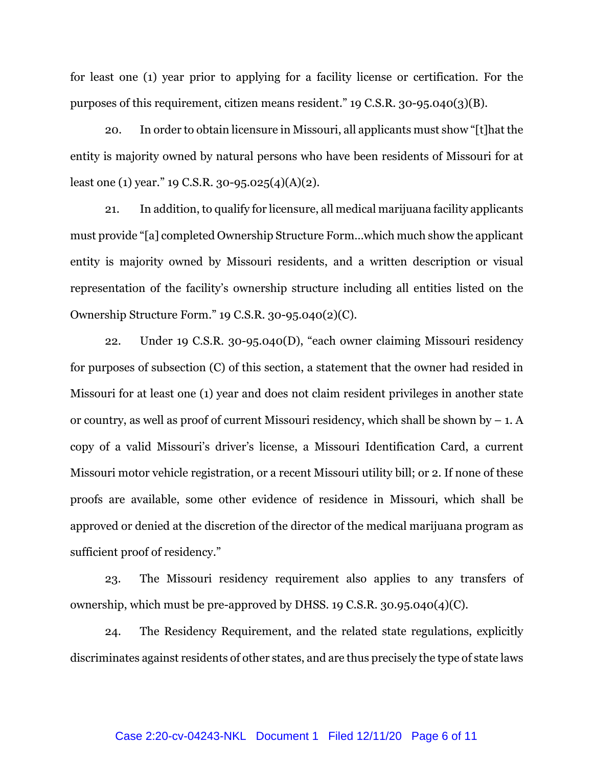for least one (1) year prior to applying for a facility license or certification. For the purposes of this requirement, citizen means resident." 19 C.S.R. 30-95.040(3)(B).

20. In order to obtain licensure in Missouri, all applicants must show "[t]hat the entity is majority owned by natural persons who have been residents of Missouri for at least one (1) year." 19 C.S.R. 30-95.025(4)(A)(2).

21. In addition, to qualify for licensure, all medical marijuana facility applicants must provide "[a] completed Ownership Structure Form…which much show the applicant entity is majority owned by Missouri residents, and a written description or visual representation of the facility's ownership structure including all entities listed on the Ownership Structure Form." 19 C.S.R. 30-95.040(2)(C).

22. Under 19 C.S.R. 30-95.040(D), "each owner claiming Missouri residency for purposes of subsection (C) of this section, a statement that the owner had resided in Missouri for at least one (1) year and does not claim resident privileges in another state or country, as well as proof of current Missouri residency, which shall be shown by  $-1$ . A copy of a valid Missouri's driver's license, a Missouri Identification Card, a current Missouri motor vehicle registration, or a recent Missouri utility bill; or 2. If none of these proofs are available, some other evidence of residence in Missouri, which shall be approved or denied at the discretion of the director of the medical marijuana program as sufficient proof of residency."

23. The Missouri residency requirement also applies to any transfers of ownership, which must be pre-approved by DHSS. 19 C.S.R. 30.95.040(4)(C).

24. The Residency Requirement, and the related state regulations, explicitly discriminates against residents of other states, and are thus precisely the type of state laws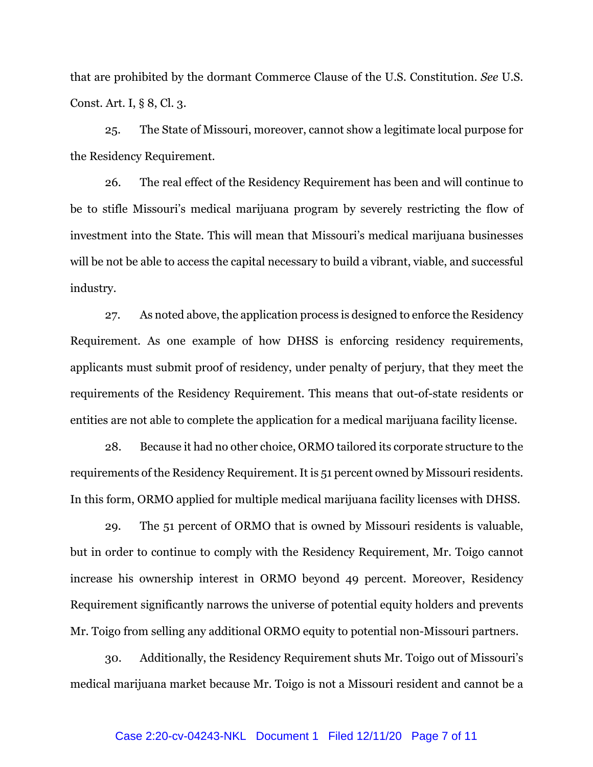that are prohibited by the dormant Commerce Clause of the U.S. Constitution. *See* U.S. Const. Art. I, § 8, Cl. 3.

25. The State of Missouri, moreover, cannot show a legitimate local purpose for the Residency Requirement.

26. The real effect of the Residency Requirement has been and will continue to be to stifle Missouri's medical marijuana program by severely restricting the flow of investment into the State. This will mean that Missouri's medical marijuana businesses will be not be able to access the capital necessary to build a vibrant, viable, and successful industry.

27. As noted above, the application process is designed to enforce the Residency Requirement. As one example of how DHSS is enforcing residency requirements, applicants must submit proof of residency, under penalty of perjury, that they meet the requirements of the Residency Requirement. This means that out-of-state residents or entities are not able to complete the application for a medical marijuana facility license.

28. Because it had no other choice, ORMO tailored its corporate structure to the requirements of the Residency Requirement. It is 51 percent owned by Missouri residents. In this form, ORMO applied for multiple medical marijuana facility licenses with DHSS.

29. The 51 percent of ORMO that is owned by Missouri residents is valuable, but in order to continue to comply with the Residency Requirement, Mr. Toigo cannot increase his ownership interest in ORMO beyond 49 percent. Moreover, Residency Requirement significantly narrows the universe of potential equity holders and prevents Mr. Toigo from selling any additional ORMO equity to potential non-Missouri partners.

30. Additionally, the Residency Requirement shuts Mr. Toigo out of Missouri's medical marijuana market because Mr. Toigo is not a Missouri resident and cannot be a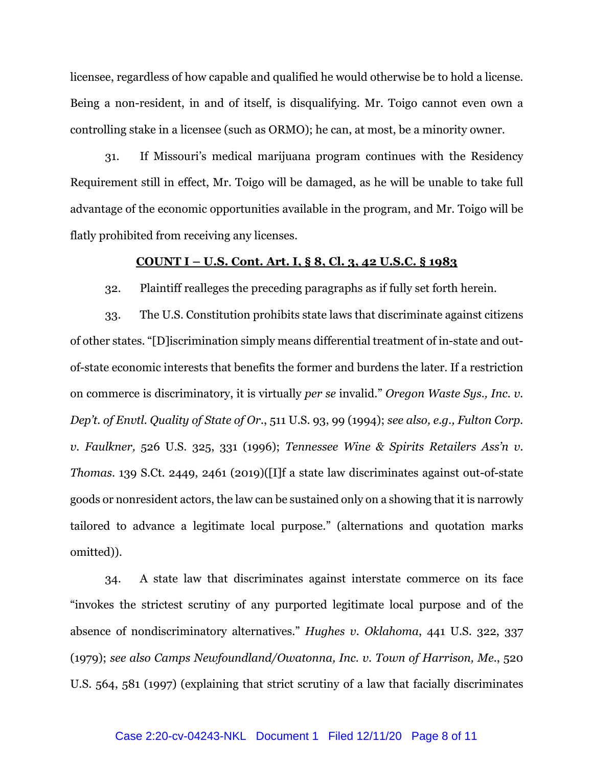licensee, regardless of how capable and qualified he would otherwise be to hold a license. Being a non-resident, in and of itself, is disqualifying. Mr. Toigo cannot even own a controlling stake in a licensee (such as ORMO); he can, at most, be a minority owner.

31. If Missouri's medical marijuana program continues with the Residency Requirement still in effect, Mr. Toigo will be damaged, as he will be unable to take full advantage of the economic opportunities available in the program, and Mr. Toigo will be flatly prohibited from receiving any licenses.

#### **COUNT I – U.S. Cont. Art. I, § 8, Cl. 3, 42 U.S.C. § 1983**

32. Plaintiff realleges the preceding paragraphs as if fully set forth herein.

33. The U.S. Constitution prohibits state laws that discriminate against citizens of other states. "[D]iscrimination simply means differential treatment of in-state and outof-state economic interests that benefits the former and burdens the later. If a restriction on commerce is discriminatory, it is virtually *per se* invalid." *Oregon Waste Sys., Inc. v. Dep't. of Envtl. Quality of State of Or.*, 511 U.S. 93, 99 (1994); *see also, e.g., Fulton Corp. v. Faulkner,* 526 U.S. 325, 331 (1996); *Tennessee Wine & Spirits Retailers Ass'n v. Thomas*. 139 S.Ct. 2449, 2461 (2019)([I]f a state law discriminates against out-of-state goods or nonresident actors, the law can be sustained only on a showing that it is narrowly tailored to advance a legitimate local purpose." (alternations and quotation marks omitted)).

34. A state law that discriminates against interstate commerce on its face "invokes the strictest scrutiny of any purported legitimate local purpose and of the absence of nondiscriminatory alternatives." *Hughes v. Oklahoma*, 441 U.S. 322, 337 (1979); *see also Camps Newfoundland/Owatonna, Inc. v. Town of Harrison, Me.*, 520 U.S. 564, 581 (1997) (explaining that strict scrutiny of a law that facially discriminates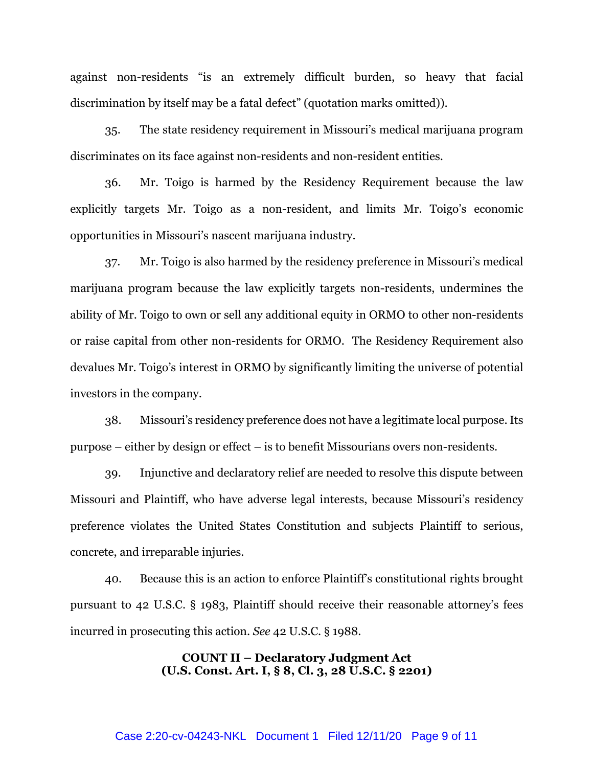against non-residents "is an extremely difficult burden, so heavy that facial discrimination by itself may be a fatal defect" (quotation marks omitted)).

35. The state residency requirement in Missouri's medical marijuana program discriminates on its face against non-residents and non-resident entities.

36. Mr. Toigo is harmed by the Residency Requirement because the law explicitly targets Mr. Toigo as a non-resident, and limits Mr. Toigo's economic opportunities in Missouri's nascent marijuana industry.

37. Mr. Toigo is also harmed by the residency preference in Missouri's medical marijuana program because the law explicitly targets non-residents, undermines the ability of Mr. Toigo to own or sell any additional equity in ORMO to other non-residents or raise capital from other non-residents for ORMO. The Residency Requirement also devalues Mr. Toigo's interest in ORMO by significantly limiting the universe of potential investors in the company.

38. Missouri's residency preference does not have a legitimate local purpose. Its purpose – either by design or effect – is to benefit Missourians overs non-residents.

39. Injunctive and declaratory relief are needed to resolve this dispute between Missouri and Plaintiff, who have adverse legal interests, because Missouri's residency preference violates the United States Constitution and subjects Plaintiff to serious, concrete, and irreparable injuries.

40. Because this is an action to enforce Plaintiff's constitutional rights brought pursuant to 42 U.S.C. § 1983, Plaintiff should receive their reasonable attorney's fees incurred in prosecuting this action. *See* 42 U.S.C. § 1988.

> **COUNT II – Declaratory Judgment Act (U.S. Const. Art. I, § 8, Cl. 3, 28 U.S.C. § 2201)**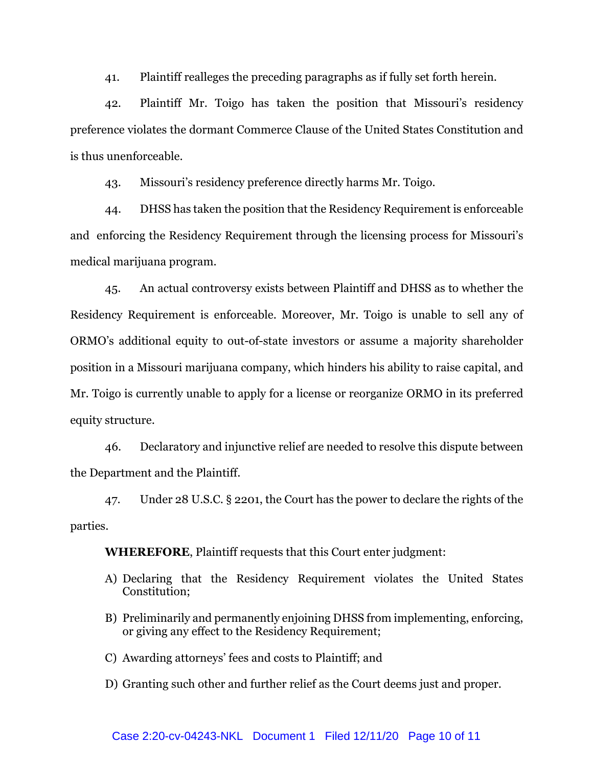41. Plaintiff realleges the preceding paragraphs as if fully set forth herein.

42. Plaintiff Mr. Toigo has taken the position that Missouri's residency preference violates the dormant Commerce Clause of the United States Constitution and is thus unenforceable.

43. Missouri's residency preference directly harms Mr. Toigo.

44. DHSS has taken the position that the Residency Requirement is enforceable and enforcing the Residency Requirement through the licensing process for Missouri's medical marijuana program.

45. An actual controversy exists between Plaintiff and DHSS as to whether the Residency Requirement is enforceable. Moreover, Mr. Toigo is unable to sell any of ORMO's additional equity to out-of-state investors or assume a majority shareholder position in a Missouri marijuana company, which hinders his ability to raise capital, and Mr. Toigo is currently unable to apply for a license or reorganize ORMO in its preferred equity structure.

46. Declaratory and injunctive relief are needed to resolve this dispute between the Department and the Plaintiff.

47. Under 28 U.S.C. § 2201, the Court has the power to declare the rights of the parties.

**WHEREFORE**, Plaintiff requests that this Court enter judgment:

- A) Declaring that the Residency Requirement violates the United States Constitution;
- B) Preliminarily and permanently enjoining DHSS from implementing, enforcing, or giving any effect to the Residency Requirement;
- C) Awarding attorneys' fees and costs to Plaintiff; and
- D) Granting such other and further relief as the Court deems just and proper.